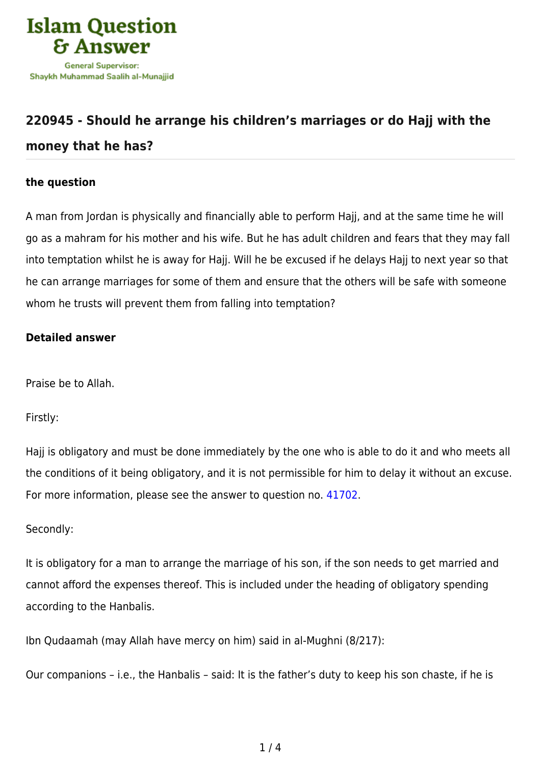

# **[220945 - Should he arrange his children's marriages or do Hajj with the](https://islamqa.com/en/answers/220945/should-he-arrange-his-childrens-marriages-or-do-hajj-with-the-money-that-he-has) [money that he has?](https://islamqa.com/en/answers/220945/should-he-arrange-his-childrens-marriages-or-do-hajj-with-the-money-that-he-has)**

## **the question**

A man from Jordan is physically and financially able to perform Hajj, and at the same time he will go as a mahram for his mother and his wife. But he has adult children and fears that they may fall into temptation whilst he is away for Hajj. Will he be excused if he delays Hajj to next year so that he can arrange marriages for some of them and ensure that the others will be safe with someone whom he trusts will prevent them from falling into temptation?

### **Detailed answer**

Praise be to Allah.

Firstly:

Hajj is obligatory and must be done immediately by the one who is able to do it and who meets all the conditions of it being obligatory, and it is not permissible for him to delay it without an excuse. For more information, please see the answer to question no. [41702.](https://islamqa.com/en/answers/41702)

### Secondly:

It is obligatory for a man to arrange the marriage of his son, if the son needs to get married and cannot afford the expenses thereof. This is included under the heading of obligatory spending according to the Hanbalis.

Ibn Qudaamah (may Allah have mercy on him) said in al-Mughni (8/217):

Our companions – i.e., the Hanbalis – said: It is the father's duty to keep his son chaste, if he is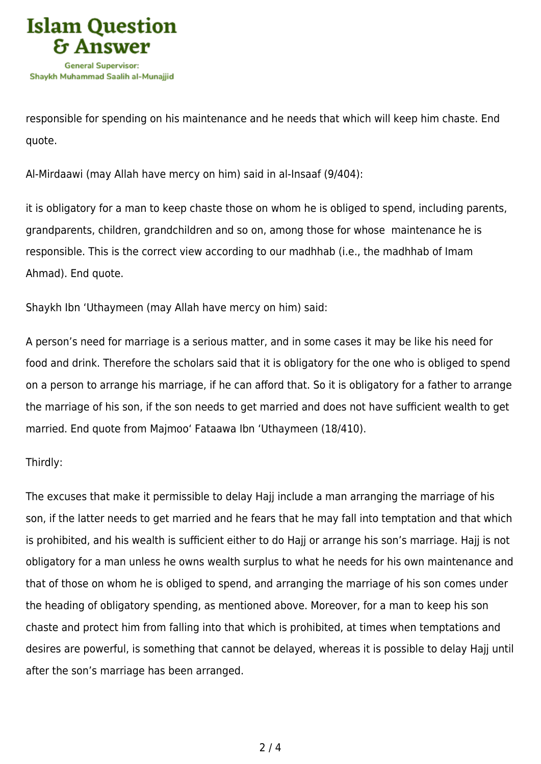

responsible for spending on his maintenance and he needs that which will keep him chaste. End quote.

Al-Mirdaawi (may Allah have mercy on him) said in al-Insaaf (9/404):

it is obligatory for a man to keep chaste those on whom he is obliged to spend, including parents, grandparents, children, grandchildren and so on, among those for whose maintenance he is responsible. This is the correct view according to our madhhab (i.e., the madhhab of Imam Ahmad). End quote.

Shaykh Ibn 'Uthaymeen (may Allah have mercy on him) said:

A person's need for marriage is a serious matter, and in some cases it may be like his need for food and drink. Therefore the scholars said that it is obligatory for the one who is obliged to spend on a person to arrange his marriage, if he can afford that. So it is obligatory for a father to arrange the marriage of his son, if the son needs to get married and does not have sufficient wealth to get married. End quote from Majmoo' Fataawa Ibn 'Uthaymeen (18/410).

### Thirdly:

The excuses that make it permissible to delay Hajj include a man arranging the marriage of his son, if the latter needs to get married and he fears that he may fall into temptation and that which is prohibited, and his wealth is sufficient either to do Hajj or arrange his son's marriage. Hajj is not obligatory for a man unless he owns wealth surplus to what he needs for his own maintenance and that of those on whom he is obliged to spend, and arranging the marriage of his son comes under the heading of obligatory spending, as mentioned above. Moreover, for a man to keep his son chaste and protect him from falling into that which is prohibited, at times when temptations and desires are powerful, is something that cannot be delayed, whereas it is possible to delay Hajj until after the son's marriage has been arranged.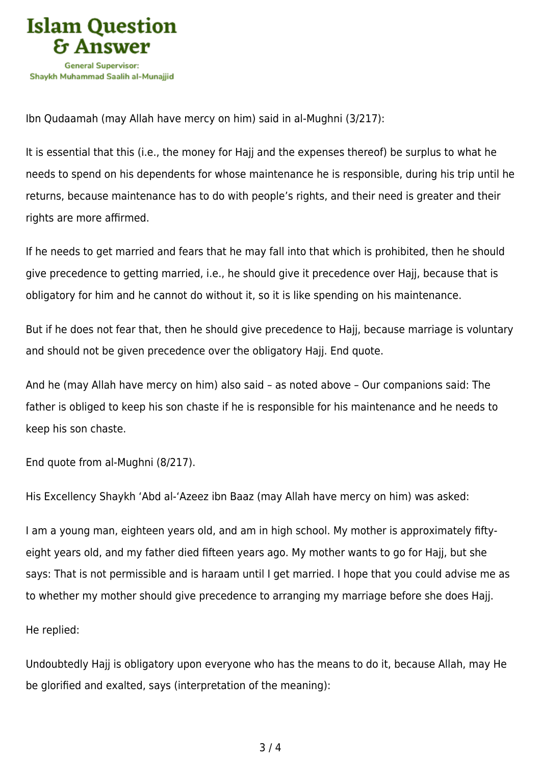

Ibn Qudaamah (may Allah have mercy on him) said in al-Mughni (3/217):

It is essential that this (i.e., the money for Hajj and the expenses thereof) be surplus to what he needs to spend on his dependents for whose maintenance he is responsible, during his trip until he returns, because maintenance has to do with people's rights, and their need is greater and their rights are more affirmed.

If he needs to get married and fears that he may fall into that which is prohibited, then he should give precedence to getting married, i.e., he should give it precedence over Hajj, because that is obligatory for him and he cannot do without it, so it is like spending on his maintenance.

But if he does not fear that, then he should give precedence to Hajj, because marriage is voluntary and should not be given precedence over the obligatory Hajj. End quote.

And he (may Allah have mercy on him) also said – as noted above – Our companions said: The father is obliged to keep his son chaste if he is responsible for his maintenance and he needs to keep his son chaste.

End quote from al-Mughni (8/217).

His Excellency Shaykh 'Abd al-'Azeez ibn Baaz (may Allah have mercy on him) was asked:

I am a young man, eighteen years old, and am in high school. My mother is approximately fiftyeight years old, and my father died fifteen years ago. My mother wants to go for Hajj, but she says: That is not permissible and is haraam until I get married. I hope that you could advise me as to whether my mother should give precedence to arranging my marriage before she does Hajj.

He replied:

Undoubtedly Hajj is obligatory upon everyone who has the means to do it, because Allah, may He be glorified and exalted, says (interpretation of the meaning):